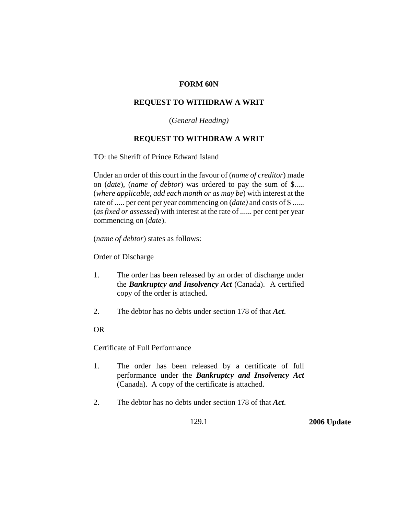## **FORM 60N**

## **REQUEST TO WITHDRAW A WRIT**

(*General Heading)*

## **REQUEST TO WITHDRAW A WRIT**

TO: the Sheriff of Prince Edward Island

Under an order of this court in the favour of (*name of creditor*) made on (*date*), (*name of debtor*) was ordered to pay the sum of \$..... (*where applicable, add each month or as may be*) with interest at the rate of ..... per cent per year commencing on (*date)* and costs of \$ ...... (*as fixed or assessed*) with interest at the rate of ...... per cent per year commencing on (*date*).

(*name of debtor*) states as follows:

Order of Discharge

- 1. The order has been released by an order of discharge under the *Bankruptcy and Insolvency Act* (Canada). A certified copy of the order is attached.
- 2. The debtor has no debts under section 178 of that *Act*.

## OR

Certificate of Full Performance

- 1. The order has been released by a certificate of full performance under the *Bankruptcy and Insolvency Act* (Canada). A copy of the certificate is attached.
- 2. The debtor has no debts under section 178 of that *Act*.

129.1 **2006 Update**